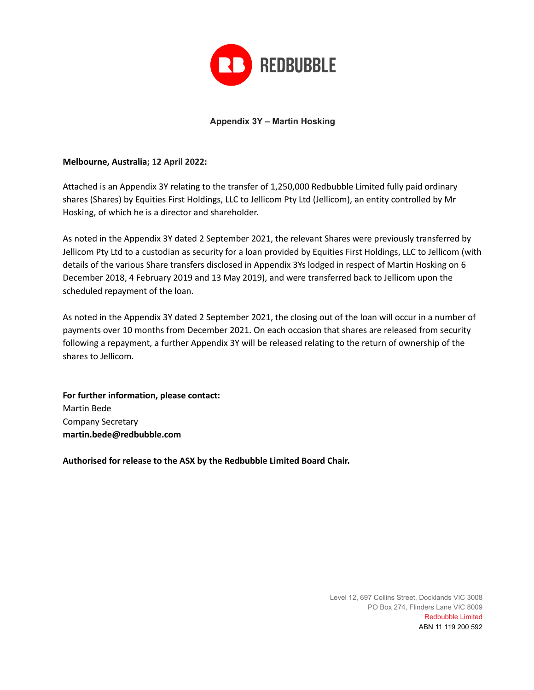

### **Appendix 3Y – Martin Hosking**

### **Melbourne, Australia; 12 April 2022:**

Attached is an Appendix 3Y relating to the transfer of 1,250,000 Redbubble Limited fully paid ordinary shares (Shares) by Equities First Holdings, LLC to Jellicom Pty Ltd (Jellicom), an entity controlled by Mr Hosking, of which he is a director and shareholder.

As noted in the Appendix 3Y dated 2 September 2021, the relevant Shares were previously transferred by Jellicom Pty Ltd to a custodian as security for a loan provided by Equities First Holdings, LLC to Jellicom (with details of the various Share transfers disclosed in Appendix 3Ys lodged in respect of Martin Hosking on 6 December 2018, 4 February 2019 and 13 May 2019), and were transferred back to Jellicom upon the scheduled repayment of the loan.

As noted in the Appendix 3Y dated 2 September 2021, the closing out of the loan will occur in a number of payments over 10 months from December 2021. On each occasion that shares are released from security following a repayment, a further Appendix 3Y will be released relating to the return of ownership of the shares to Jellicom.

**For further information, please contact:** Martin Bede Company Secretary **martin.bede@redbubble.com**

**Authorised for release to the ASX by the Redbubble Limited Board Chair.**

Level 12, 697 Collins Street, Docklands VIC 3008 PO Box 274, Flinders Lane VIC 8009 Redbubble Limited ABN 11 119 200 592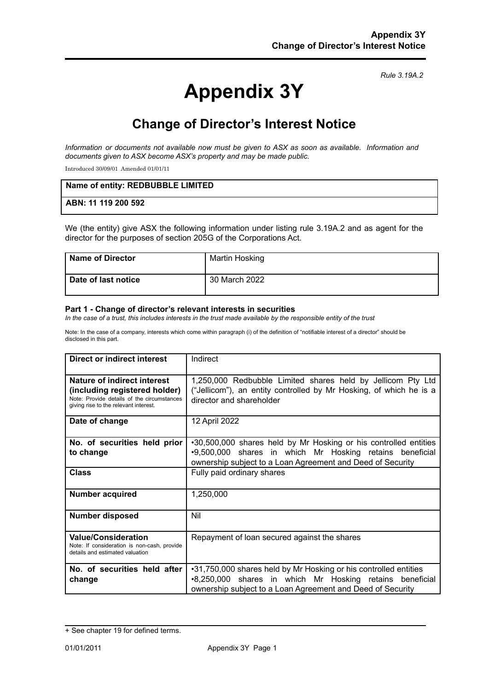*Rule 3.19A.2*

# **Appendix 3Y**

# **Change of Director's Interest Notice**

*Information or documents not available now must be given to ASX as soon as available. Information and documents given to ASX become ASX's property and may be made public.*

Introduced 30/09/01 Amended 01/01/11

| Name of entity: REDBUBBLE LIMITED |  |
|-----------------------------------|--|
| ABN: 11 119 200 592               |  |

We (the entity) give ASX the following information under listing rule 3.19A.2 and as agent for the director for the purposes of section 205G of the Corporations Act.

| Name of Director      | Martin Hosking |
|-----------------------|----------------|
| l Date of last notice | 30 March 2022  |

#### **Part 1 - Change of director's relevant interests in securities**

In the case of a trust, this includes interests in the trust made available by the responsible entity of the trust

Note: In the case of a company, interests which come within paragraph (i) of the definition of "notifiable interest of a director" should be disclosed in this part.

| Direct or indirect interest                                                                                                                                | Indirect                                                                                                                                                                                   |
|------------------------------------------------------------------------------------------------------------------------------------------------------------|--------------------------------------------------------------------------------------------------------------------------------------------------------------------------------------------|
| <b>Nature of indirect interest</b><br>(including registered holder)<br>Note: Provide details of the circumstances<br>giving rise to the relevant interest. | 1,250,000 Redbubble Limited shares held by Jellicom Pty Ltd<br>("Jellicom"), an entity controlled by Mr Hosking, of which he is a<br>director and shareholder                              |
| Date of change                                                                                                                                             | 12 April 2022                                                                                                                                                                              |
| No. of securities held prior<br>to change                                                                                                                  | .30,500,000 shares held by Mr Hosking or his controlled entities<br>.9,500,000 shares in which Mr Hosking retains beneficial<br>ownership subject to a Loan Agreement and Deed of Security |
| <b>Class</b>                                                                                                                                               | Fully paid ordinary shares                                                                                                                                                                 |
| <b>Number acquired</b>                                                                                                                                     | 1,250,000                                                                                                                                                                                  |
| <b>Number disposed</b>                                                                                                                                     | Nil                                                                                                                                                                                        |
| <b>Value/Consideration</b><br>Note: If consideration is non-cash, provide<br>details and estimated valuation                                               | Repayment of loan secured against the shares                                                                                                                                               |
| No. of securities held after<br>change                                                                                                                     | •31,750,000 shares held by Mr Hosking or his controlled entities<br>•8,250,000 shares in which Mr Hosking retains beneficial<br>ownership subject to a Loan Agreement and Deed of Security |

<sup>+</sup> See chapter 19 for defined terms.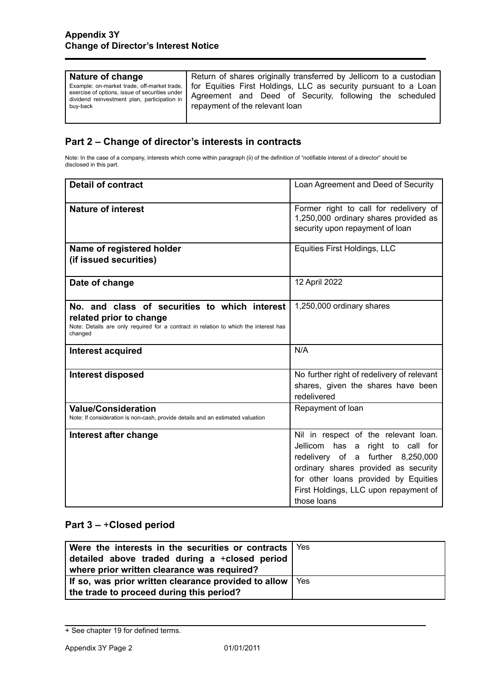| Nature of change                                                                                                                                          | Return of shares originally transferred by Jellicom to a custodian                                                                                           |
|-----------------------------------------------------------------------------------------------------------------------------------------------------------|--------------------------------------------------------------------------------------------------------------------------------------------------------------|
| Example: on-market trade, off-market trade,<br>exercise of options, issue of securities under<br>dividend reinvestment plan, participation in<br>buy-back | for Equities First Holdings, LLC as security pursuant to a Loan<br>Agreement and Deed of Security, following the scheduled<br>repayment of the relevant loan |

# **Part 2 – Change of director's interests in contracts**

Note: In the case of a company, interests which come within paragraph (ii) of the definition of "notifiable interest of a director" should be disclosed in this part.

| <b>Detail of contract</b>                                                                                                                                                   | Loan Agreement and Deed of Security                                                                                                                                                                                                                   |
|-----------------------------------------------------------------------------------------------------------------------------------------------------------------------------|-------------------------------------------------------------------------------------------------------------------------------------------------------------------------------------------------------------------------------------------------------|
| <b>Nature of interest</b>                                                                                                                                                   | Former right to call for redelivery of<br>1,250,000 ordinary shares provided as<br>security upon repayment of loan                                                                                                                                    |
| Name of registered holder<br>(if issued securities)                                                                                                                         | Equities First Holdings, LLC                                                                                                                                                                                                                          |
| Date of change                                                                                                                                                              | 12 April 2022                                                                                                                                                                                                                                         |
| No, and class of securities to which interest<br>related prior to change<br>Note: Details are only required for a contract in relation to which the interest has<br>changed | 1,250,000 ordinary shares                                                                                                                                                                                                                             |
| <b>Interest acquired</b>                                                                                                                                                    | N/A                                                                                                                                                                                                                                                   |
| <b>Interest disposed</b>                                                                                                                                                    | No further right of redelivery of relevant<br>shares, given the shares have been<br>redelivered                                                                                                                                                       |
| <b>Value/Consideration</b><br>Note: If consideration is non-cash, provide details and an estimated valuation                                                                | Repayment of loan                                                                                                                                                                                                                                     |
| Interest after change                                                                                                                                                       | Nil in respect of the relevant loan.<br>Jellicom has a right to call for<br>redelivery of a further 8,250,000<br>ordinary shares provided as security<br>for other loans provided by Equities<br>First Holdings, LLC upon repayment of<br>those loans |

## **Part 3 –** +**Closed period**

| Were the interests in the securities or contracts $\vert$ Yes<br>detailed above traded during a +closed period<br>where prior written clearance was required? |       |
|---------------------------------------------------------------------------------------------------------------------------------------------------------------|-------|
| If so, was prior written clearance provided to allow<br>the trade to proceed during this period?                                                              | l Yes |

<sup>+</sup> See chapter 19 for defined terms.